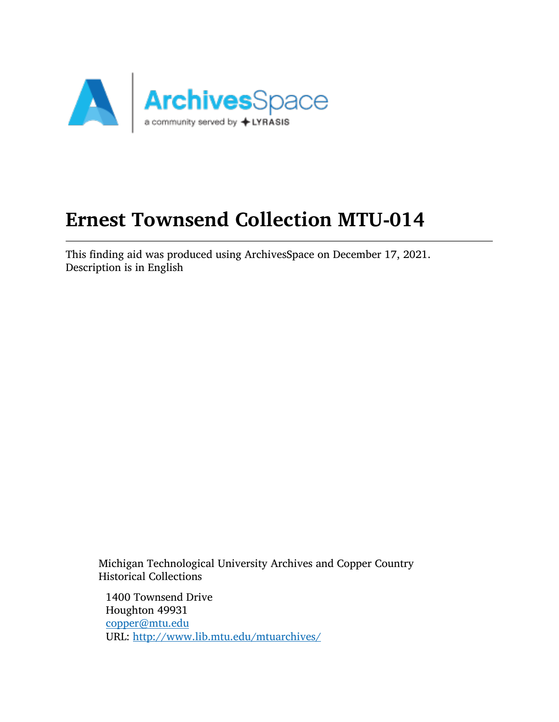

# Ernest Townsend Collection MTU-014

This finding aid was produced using ArchivesSpace on December 17, 2021. Description is in English

Michigan Technological University Archives and Copper Country Historical Collections

1400 Townsend Drive Houghton 49931 [copper@mtu.edu](mailto:copper@mtu.edu) URL: <http://www.lib.mtu.edu/mtuarchives/>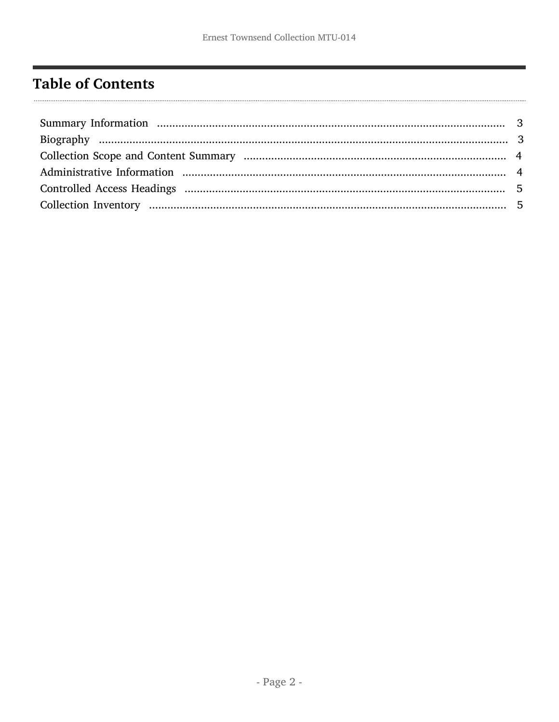# <span id="page-1-0"></span>**Table of Contents**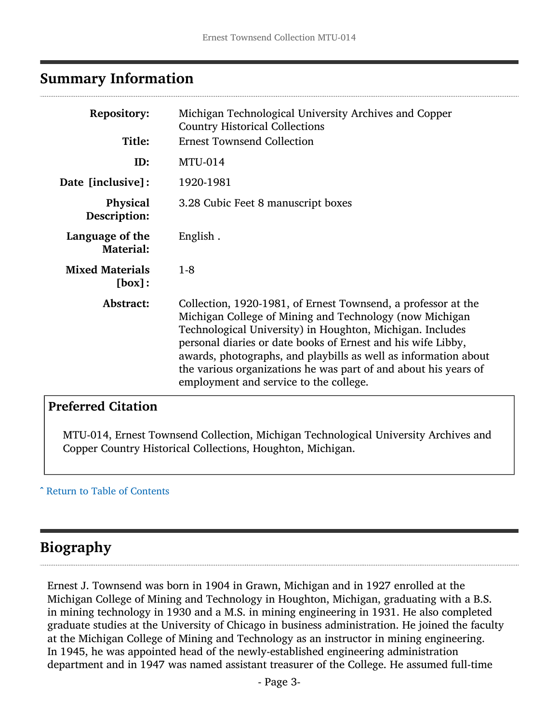#### <span id="page-2-0"></span>Summary Information

| <b>Repository:</b>                  | Michigan Technological University Archives and Copper<br><b>Country Historical Collections</b>                                                                                                                                                                                                                                                                                                                                        |
|-------------------------------------|---------------------------------------------------------------------------------------------------------------------------------------------------------------------------------------------------------------------------------------------------------------------------------------------------------------------------------------------------------------------------------------------------------------------------------------|
| Title:                              | <b>Ernest Townsend Collection</b>                                                                                                                                                                                                                                                                                                                                                                                                     |
| ID:                                 | <b>MTU-014</b>                                                                                                                                                                                                                                                                                                                                                                                                                        |
| Date [inclusive]:                   | 1920-1981                                                                                                                                                                                                                                                                                                                                                                                                                             |
| <b>Physical</b><br>Description:     | 3.28 Cubic Feet 8 manuscript boxes                                                                                                                                                                                                                                                                                                                                                                                                    |
| Language of the<br><b>Material:</b> | English.                                                                                                                                                                                                                                                                                                                                                                                                                              |
| <b>Mixed Materials</b><br>[box]:    | $1-8$                                                                                                                                                                                                                                                                                                                                                                                                                                 |
| Abstract:                           | Collection, 1920-1981, of Ernest Townsend, a professor at the<br>Michigan College of Mining and Technology (now Michigan<br>Technological University) in Houghton, Michigan. Includes<br>personal diaries or date books of Ernest and his wife Libby,<br>awards, photographs, and playbills as well as information about<br>the various organizations he was part of and about his years of<br>employment and service to the college. |

#### Preferred Citation

MTU-014, Ernest Townsend Collection, Michigan Technological University Archives and Copper Country Historical Collections, Houghton, Michigan.

#### ^ [Return to Table of Contents](#page-1-0)

### <span id="page-2-1"></span>Biography

Ernest J. Townsend was born in 1904 in Grawn, Michigan and in 1927 enrolled at the Michigan College of Mining and Technology in Houghton, Michigan, graduating with a B.S. in mining technology in 1930 and a M.S. in mining engineering in 1931. He also completed graduate studies at the University of Chicago in business administration. He joined the faculty at the Michigan College of Mining and Technology as an instructor in mining engineering. In 1945, he was appointed head of the newly-established engineering administration department and in 1947 was named assistant treasurer of the College. He assumed full-time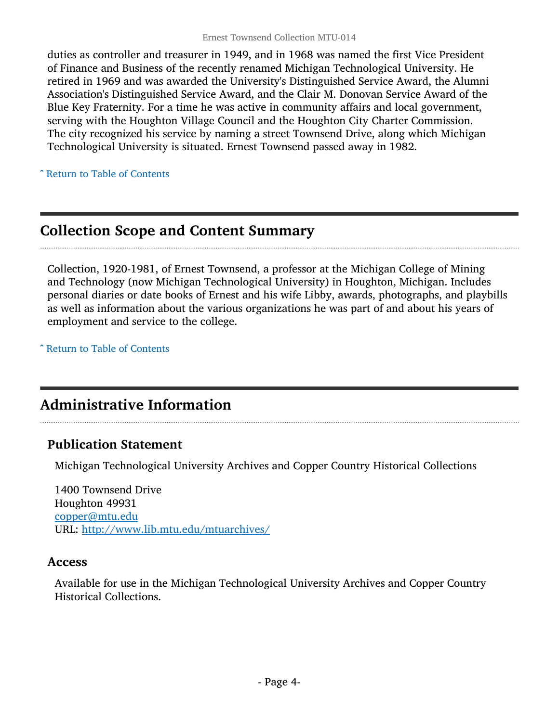duties as controller and treasurer in 1949, and in 1968 was named the first Vice President of Finance and Business of the recently renamed Michigan Technological University. He retired in 1969 and was awarded the University's Distinguished Service Award, the Alumni Association's Distinguished Service Award, and the Clair M. Donovan Service Award of the Blue Key Fraternity. For a time he was active in community affairs and local government, serving with the Houghton Village Council and the Houghton City Charter Commission. The city recognized his service by naming a street Townsend Drive, along which Michigan Technological University is situated. Ernest Townsend passed away in 1982.

^ [Return to Table of Contents](#page-1-0)

## <span id="page-3-0"></span>Collection Scope and Content Summary

Collection, 1920-1981, of Ernest Townsend, a professor at the Michigan College of Mining and Technology (now Michigan Technological University) in Houghton, Michigan. Includes personal diaries or date books of Ernest and his wife Libby, awards, photographs, and playbills as well as information about the various organizations he was part of and about his years of employment and service to the college.

^ [Return to Table of Contents](#page-1-0)

# <span id="page-3-1"></span>Administrative Information

#### Publication Statement

Michigan Technological University Archives and Copper Country Historical Collections

1400 Townsend Drive Houghton 49931 [copper@mtu.edu](mailto:copper@mtu.edu) URL: <http://www.lib.mtu.edu/mtuarchives/>

#### Access

Available for use in the Michigan Technological University Archives and Copper Country Historical Collections.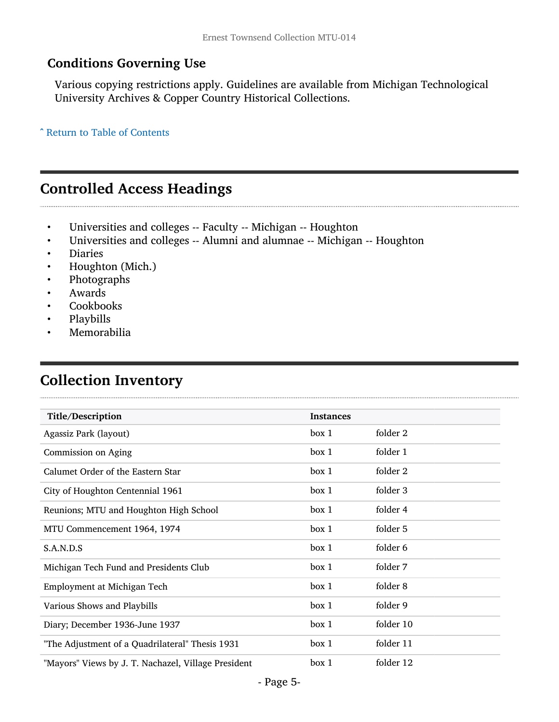#### Conditions Governing Use

Various copying restrictions apply. Guidelines are available from Michigan Technological University Archives & Copper Country Historical Collections.

^ [Return to Table of Contents](#page-1-0)

# <span id="page-4-0"></span>Controlled Access Headings

- Universities and colleges -- Faculty -- Michigan -- Houghton<br>• Universities and colleges -- Alumni and alumnae -- Michigan
- Universities and colleges -- Alumni and alumnae -- Michigan -- Houghton
- Diaries
- Houghton (Mich.)
- Photographs
- Awards
- Cookbooks
- Playbills
- Memorabilia

# <span id="page-4-1"></span>Collection Inventory

| Title/Description                                   | <b>Instances</b> |           |
|-----------------------------------------------------|------------------|-----------|
| Agassiz Park (layout)                               | box 1            | folder 2  |
| Commission on Aging                                 | box 1            | folder 1  |
| Calumet Order of the Eastern Star                   | box 1            | folder 2  |
| City of Houghton Centennial 1961                    | box 1            | folder 3  |
| Reunions; MTU and Houghton High School              | box 1            | folder 4  |
| MTU Commencement 1964, 1974                         | box 1            | folder 5  |
| S.A.N.D.S                                           | box 1            | folder 6  |
| Michigan Tech Fund and Presidents Club              | box 1            | folder 7  |
| Employment at Michigan Tech                         | box 1            | folder 8  |
| Various Shows and Playbills                         | box 1            | folder 9  |
| Diary; December 1936-June 1937                      | box 1            | folder 10 |
| "The Adjustment of a Quadrilateral" Thesis 1931     | box 1            | folder 11 |
| "Mayors" Views by J. T. Nachazel, Village President | box 1            | folder 12 |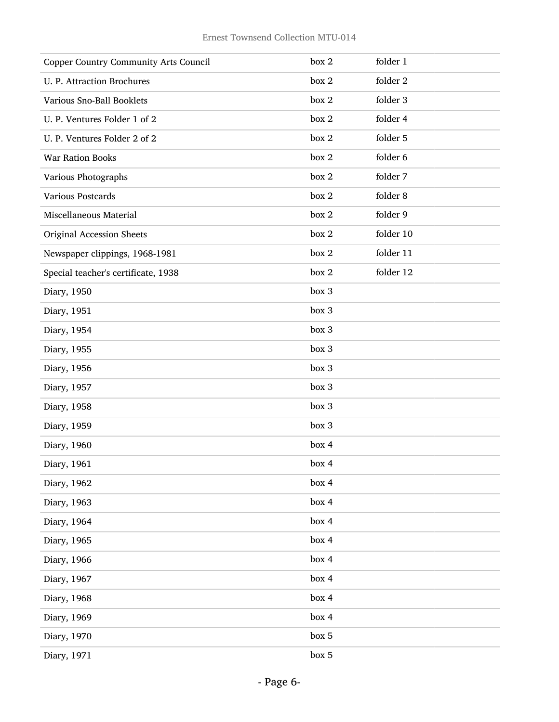| <b>Copper Country Community Arts Council</b> | box 2 | folder 1  |
|----------------------------------------------|-------|-----------|
| U. P. Attraction Brochures                   | box 2 | folder 2  |
| Various Sno-Ball Booklets                    | box 2 | folder 3  |
| U. P. Ventures Folder 1 of 2                 | box 2 | folder 4  |
| U. P. Ventures Folder 2 of 2                 | box 2 | folder 5  |
| <b>War Ration Books</b>                      | box 2 | folder 6  |
| Various Photographs                          | box 2 | folder 7  |
| Various Postcards                            | box 2 | folder 8  |
| Miscellaneous Material                       | box 2 | folder 9  |
| Original Accession Sheets                    | box 2 | folder 10 |
| Newspaper clippings, 1968-1981               | box 2 | folder 11 |
| Special teacher's certificate, 1938          | box 2 | folder 12 |
| Diary, 1950                                  | box 3 |           |
| Diary, 1951                                  | box 3 |           |
| Diary, 1954                                  | box 3 |           |
| Diary, 1955                                  | box 3 |           |
| Diary, 1956                                  | box 3 |           |
| Diary, 1957                                  | box 3 |           |
| Diary, 1958                                  | box 3 |           |
| Diary, 1959                                  | box 3 |           |
| Diary, 1960                                  | box 4 |           |
| Diary, 1961                                  | box 4 |           |
| Diary, 1962                                  | box 4 |           |
| Diary, 1963                                  | box 4 |           |
| Diary, 1964                                  | box 4 |           |
| Diary, 1965                                  | box 4 |           |
| Diary, 1966                                  | box 4 |           |
| Diary, 1967                                  | box 4 |           |
| Diary, 1968                                  | box 4 |           |
| Diary, 1969                                  | box 4 |           |
| Diary, 1970                                  | box 5 |           |
| Diary, 1971                                  | box 5 |           |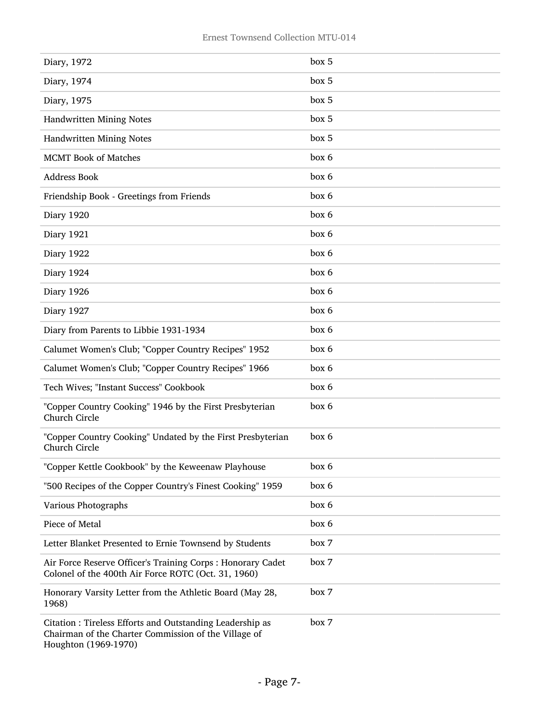| Diary, 1972                                                                                                                              | box 5 |
|------------------------------------------------------------------------------------------------------------------------------------------|-------|
| Diary, 1974                                                                                                                              | box 5 |
| Diary, 1975                                                                                                                              | box 5 |
| Handwritten Mining Notes                                                                                                                 | box 5 |
| Handwritten Mining Notes                                                                                                                 | box 5 |
| <b>MCMT</b> Book of Matches                                                                                                              | box 6 |
| <b>Address Book</b>                                                                                                                      | box 6 |
| Friendship Book - Greetings from Friends                                                                                                 | box 6 |
| Diary 1920                                                                                                                               | box 6 |
| Diary 1921                                                                                                                               | box 6 |
| Diary 1922                                                                                                                               | box 6 |
| Diary 1924                                                                                                                               | box 6 |
| Diary 1926                                                                                                                               | box 6 |
| Diary 1927                                                                                                                               | box 6 |
| Diary from Parents to Libbie 1931-1934                                                                                                   | box 6 |
| Calumet Women's Club; "Copper Country Recipes" 1952                                                                                      | box 6 |
| Calumet Women's Club; "Copper Country Recipes" 1966                                                                                      | box 6 |
| Tech Wives; "Instant Success" Cookbook                                                                                                   | box 6 |
| "Copper Country Cooking" 1946 by the First Presbyterian<br>Church Circle                                                                 | box 6 |
| "Copper Country Cooking" Undated by the First Presbyterian<br>Church Circle                                                              | box 6 |
| "Copper Kettle Cookbook" by the Keweenaw Playhouse                                                                                       | box 6 |
| "500 Recipes of the Copper Country's Finest Cooking" 1959                                                                                | box 6 |
| Various Photographs                                                                                                                      | box 6 |
| Piece of Metal                                                                                                                           | box 6 |
| Letter Blanket Presented to Ernie Townsend by Students                                                                                   | box 7 |
| Air Force Reserve Officer's Training Corps : Honorary Cadet<br>Colonel of the 400th Air Force ROTC (Oct. 31, 1960)                       | box 7 |
| Honorary Varsity Letter from the Athletic Board (May 28,<br>1968)                                                                        | box 7 |
| Citation: Tireless Efforts and Outstanding Leadership as<br>Chairman of the Charter Commission of the Village of<br>Houghton (1969-1970) | box 7 |